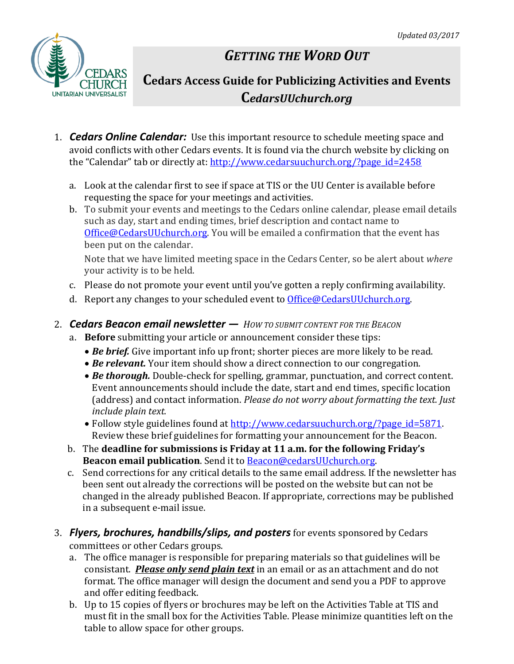

# *GETTING THE WORD OUT*

# **Cedars Access Guide for Publicizing Activities and Events C***edarsUUchurch.org*

- 1. *Cedars Online Calendar:* Use this important resource to schedule meeting space and avoid conflicts with other Cedars events. It is found via the church website by clicking on the "Calendar" tab or directly at: [http://www.cedarsuuchurch.org/?page\\_id=2458](http://www.cedarsuuchurch.org/?page_id=2458)
	- a. Look at the calendar first to see if space at TIS or the UU Center is available before requesting the space for your meetings and activities.
	- b. To submit your events and meetings to the Cedars online calendar, please email details such as day, start and ending times, brief description and contact name to [Office@CedarsUUchurch.org.](mailto:Office@CedarsUUchurch.org) You will be emailed a confirmation that the event has been put on the calendar.

Note that we have limited meeting space in the Cedars Center, so be alert about *where* your activity is to be held.

- c. Please do not promote your event until you've gotten a reply confirming availability.
- d. Report any changes to your scheduled event to [Office@CedarsUUchurch.org.](mailto:Office@CedarsUUchurch.org)
- 2. *Cedars Beacon email newsletter — HOW TO SUBMIT CONTENT FOR THE BEACON*
	- a. **Before** submitting your article or announcement consider these tips:
		- *Be brief.* Give important info up front; shorter pieces are more likely to be read.
		- *Be relevant.* Your item should show a direct connection to our congregation.
		- *Be thorough.* Double-check for spelling, grammar, punctuation, and correct content. Event announcements should include the date, start and end times, specific location (address) and contact information. *Please do not worry about formatting the text. Just include plain text.*
		- Follow style guidelines found at [http://www.cedarsuuchurch.org/?page\\_id=5871.](http://www.cedarsuuchurch.org/?page_id=5871) Review these brief guidelines for formatting your announcement for the Beacon.
	- b. The **deadline for submissions is Friday at 11 a.m. for the following Friday's Beacon email publication**. Send it to [Beacon@cedarsUUchurch.org.](mailto:Beacon@cedarsUUchurch.org)
	- c. Send corrections for any critical details to the same email address. If the newsletter has been sent out already the corrections will be posted on the website but can not be changed in the already published Beacon. If appropriate, corrections may be published in a subsequent e-mail issue.
- 3. *Flyers, brochures, handbills/slips, and posters* for events sponsored by Cedars committees or other Cedars groups.
	- a. The office manager is responsible for preparing materials so that guidelines will be consistant. *Please only send plain text* in an email or as an attachment and do not format. The office manager will design the document and send you a PDF to approve and offer editing feedback.
	- b. Up to 15 copies of flyers or brochures may be left on the Activities Table at TIS and must fit in the small box for the Activities Table. Please minimize quantities left on the table to allow space for other groups.